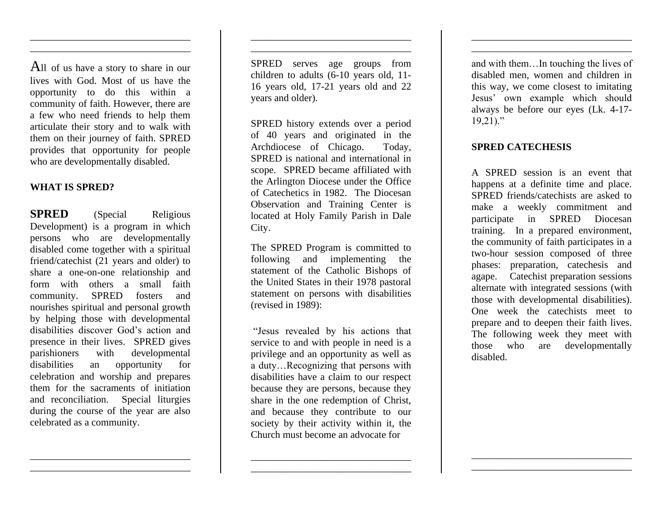All of us have a story to share in our lives with God. Most of us have the opportunity to do this within a community of faith. However, there are a few who need friends to help them articulate their story and to walk with them on their journey of faith. SPRED provides that opportunity for people who are developmentally disabled.

\_\_\_\_\_\_\_\_\_\_\_\_\_\_\_\_\_\_\_\_\_\_\_\_\_\_\_\_\_\_\_\_ \_\_\_\_\_\_\_\_\_\_\_\_\_\_\_\_\_\_\_\_\_\_\_\_\_\_\_\_\_\_\_\_

#### **WHAT IS SPRED?**

**SPRED** (Special Religious Development) is a program in which persons who are developmentally disabled come together with a spiritual friend/catechist (21 years and older) to share a one-on-one relationship and form with others a small faith community. SPRED fosters and nourishes spiritual and personal growth by helping those with developmental disabilities discover God's action and presence in their lives. SPRED gives parishioners with developmental disabilities an opportunity for celebration and worship and prepares them for the sacraments of initiation and reconciliation. Special liturgies during the course of the year are also celebrated as a community.

\_\_\_\_\_\_\_\_\_\_\_\_\_\_\_\_\_\_\_\_\_\_\_\_\_\_\_\_\_\_\_\_ \_\_\_\_\_\_\_\_\_\_\_\_\_\_\_\_\_\_\_\_\_\_\_\_\_\_\_\_\_\_\_\_ SPRED serves age groups from children to adults (6-10 years old, 11- 16 years old, 17-21 years old and 22 years and older).

\_\_\_\_\_\_\_\_\_\_\_\_\_\_\_\_\_\_\_\_\_\_\_\_\_\_\_\_\_\_\_\_ \_\_\_\_\_\_\_\_\_\_\_\_\_\_\_\_\_\_\_\_\_\_\_\_\_\_\_\_\_\_\_\_

SPRED history extends over a period of 40 years and originated in the Archdiocese of Chicago. Today, SPRED is national and international in scope. SPRED became affiliated with the Arlington Diocese under the Office of Catechetics in 1982. The Diocesan Observation and Training Center is located at Holy Family Parish in Dale City.

The SPRED Program is committed to following and implementing the statement of the Catholic Bishops of the United States in their 1978 pastoral statement on persons with disabilities (revised in 1989):

"Jesus revealed by his actions that service to and with people in need is a privilege and an opportunity as well as a duty…Recognizing that persons with disabilities have a claim to our respect because they are persons, because they share in the one redemption of Christ, and because they contribute to our society by their activity within it, the Church must become an advocate for

\_\_\_\_\_\_\_\_\_\_\_\_\_\_\_\_\_\_\_\_\_\_\_\_\_\_\_\_\_\_\_\_ \_\_\_\_\_\_\_\_\_\_\_\_\_\_\_\_\_\_\_\_\_\_\_\_\_\_\_\_\_\_\_\_ and with them…In touching the lives of disabled men, women and children in this way, we come closest to imitating Jesus' own example which should always be before our eyes (Lk. 4-17-  $19,21$ ."

\_\_\_\_\_\_\_\_\_\_\_\_\_\_\_\_\_\_\_\_\_\_\_\_\_\_\_\_\_\_\_\_ \_\_\_\_\_\_\_\_\_\_\_\_\_\_\_\_\_\_\_\_\_\_\_\_\_\_\_\_\_\_\_\_

### **SPRED CATECHESIS**

A SPRED session is an event that happens at a definite time and place. SPRED friends/catechists are asked to make a weekly commitment and participate in SPRED Diocesan training. In a prepared environment, the community of faith participates in a two-hour session composed of three phases: preparation, catechesis and agape. Catechist preparation sessions alternate with integrated sessions (with those with developmental disabilities). One week the catechists meet to prepare and to deepen their faith lives. The following week they meet with those who are developmentally disabled.

\_\_\_\_\_\_\_\_\_\_\_\_\_\_\_\_\_\_\_\_\_\_\_\_\_\_\_\_\_\_\_\_ \_\_\_\_\_\_\_\_\_\_\_\_\_\_\_\_\_\_\_\_\_\_\_\_\_\_\_\_\_\_\_\_